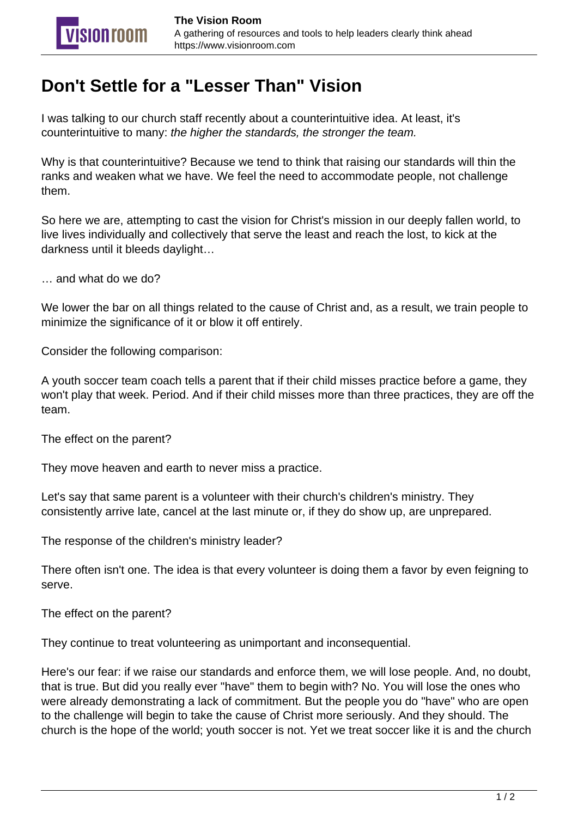## **Don't Settle for a "Lesser Than" Vision**

I was talking to our church staff recently about a counterintuitive idea. At least, it's counterintuitive to many: the higher the standards, the stronger the team.

Why is that counterintuitive? Because we tend to think that raising our standards will thin the ranks and weaken what we have. We feel the need to accommodate people, not challenge them.

So here we are, attempting to cast the vision for Christ's mission in our deeply fallen world, to live lives individually and collectively that serve the least and reach the lost, to kick at the darkness until it bleeds daylight…

… and what do we do?

We lower the bar on all things related to the cause of Christ and, as a result, we train people to minimize the significance of it or blow it off entirely.

Consider the following comparison:

A youth soccer team coach tells a parent that if their child misses practice before a game, they won't play that week. Period. And if their child misses more than three practices, they are off the team.

The effect on the parent?

They move heaven and earth to never miss a practice.

Let's say that same parent is a volunteer with their church's children's ministry. They consistently arrive late, cancel at the last minute or, if they do show up, are unprepared.

The response of the children's ministry leader?

There often isn't one. The idea is that every volunteer is doing them a favor by even feigning to serve.

The effect on the parent?

They continue to treat volunteering as unimportant and inconsequential.

Here's our fear: if we raise our standards and enforce them, we will lose people. And, no doubt, that is true. But did you really ever "have" them to begin with? No. You will lose the ones who were already demonstrating a lack of commitment. But the people you do "have" who are open to the challenge will begin to take the cause of Christ more seriously. And they should. The church is the hope of the world; youth soccer is not. Yet we treat soccer like it is and the church